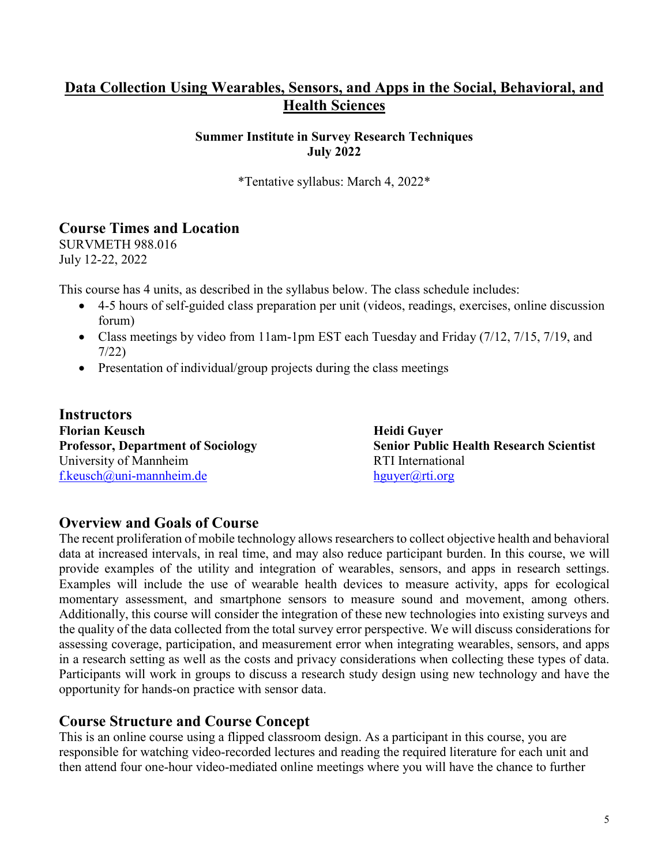# **Data Collection Using Wearables, Sensors, and Apps in the Social, Behavioral, and Health Sciences**

#### **Summer Institute in Survey Research Techniques July 2022**

\*Tentative syllabus: March 4, 2022\*

### **Course Times and Location**

SURVMETH 988.016 July 12-22, 2022

This course has 4 units, as described in the syllabus below. The class schedule includes:

- 4-5 hours of self-guided class preparation per unit (videos, readings, exercises, online discussion forum)
- Class meetings by video from 11am-1pm EST each Tuesday and Friday (7/12, 7/15, 7/19, and 7/22)
- Presentation of individual/group projects during the class meetings

**Instructors Florian Keusch Heidi Guyer** University of Mannheim RTI International f.keusch $\omega$ uni-mannheim.de hguyer $\omega$ rti.org

**Professor, Department of Sociology Senior Public Health Research Scientist** 

### **Overview and Goals of Course**

The recent proliferation of mobile technology allows researchers to collect objective health and behavioral data at increased intervals, in real time, and may also reduce participant burden. In this course, we will provide examples of the utility and integration of wearables, sensors, and apps in research settings. Examples will include the use of wearable health devices to measure activity, apps for ecological momentary assessment, and smartphone sensors to measure sound and movement, among others. Additionally, this course will consider the integration of these new technologies into existing surveys and the quality of the data collected from the total survey error perspective. We will discuss considerations for assessing coverage, participation, and measurement error when integrating wearables, sensors, and apps in a research setting as well as the costs and privacy considerations when collecting these types of data. Participants will work in groups to discuss a research study design using new technology and have the opportunity for hands-on practice with sensor data.

### **Course Structure and Course Concept**

This is an online course using a flipped classroom design. As a participant in this course, you are responsible for watching video-recorded lectures and reading the required literature for each unit and then attend four one-hour video-mediated online meetings where you will have the chance to further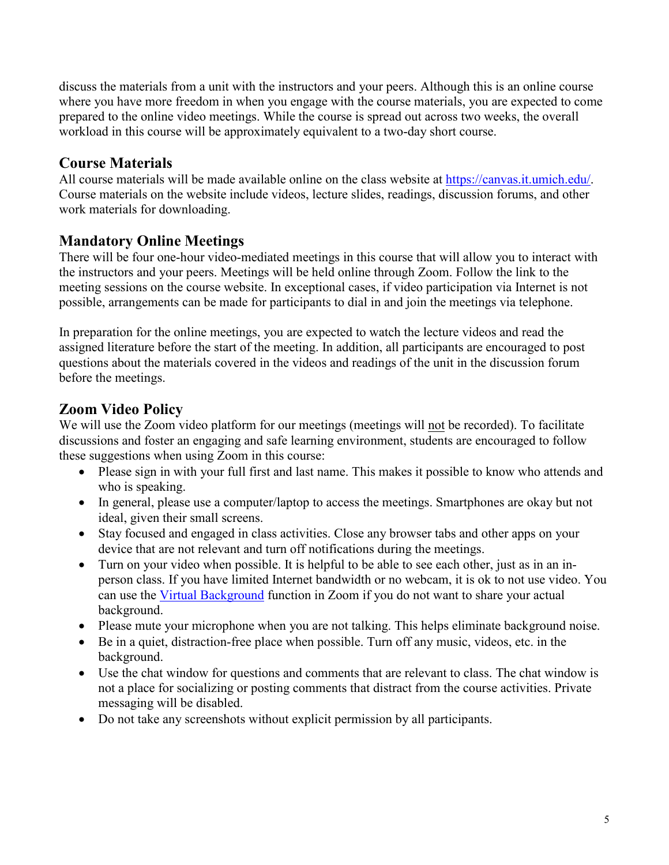discuss the materials from a unit with the instructors and your peers. Although this is an online course where you have more freedom in when you engage with the course materials, you are expected to come prepared to the online video meetings. While the course is spread out across two weeks, the overall workload in this course will be approximately equivalent to a two-day short course.

# **Course Materials**

All course materials will be made available online on the class website at [https://canvas.it.umich.edu/.](https://canvas.it.umich.edu/) Course materials on the website include videos, lecture slides, readings, discussion forums, and other work materials for downloading.

# **Mandatory Online Meetings**

There will be four one-hour video-mediated meetings in this course that will allow you to interact with the instructors and your peers. Meetings will be held online through Zoom. Follow the link to the meeting sessions on the course website. In exceptional cases, if video participation via Internet is not possible, arrangements can be made for participants to dial in and join the meetings via telephone.

In preparation for the online meetings, you are expected to watch the lecture videos and read the assigned literature before the start of the meeting. In addition, all participants are encouraged to post questions about the materials covered in the videos and readings of the unit in the discussion forum before the meetings.

# **Zoom Video Policy**

We will use the Zoom video platform for our meetings (meetings will not be recorded). To facilitate discussions and foster an engaging and safe learning environment, students are encouraged to follow these suggestions when using Zoom in this course:

- Please sign in with your full first and last name. This makes it possible to know who attends and who is speaking.
- In general, please use a computer/laptop to access the meetings. Smartphones are okay but not ideal, given their small screens.
- Stay focused and engaged in class activities. Close any browser tabs and other apps on your device that are not relevant and turn off notifications during the meetings.
- Turn on your video when possible. It is helpful to be able to see each other, just as in an inperson class. If you have limited Internet bandwidth or no webcam, it is ok to not use video. You can use the [Virtual Background](https://support.zoom.us/hc/en-us/articles/210707503-Virtual-Background) function in Zoom if you do not want to share your actual background.
- Please mute your microphone when you are not talking. This helps eliminate background noise.
- Be in a quiet, distraction-free place when possible. Turn off any music, videos, etc. in the background.
- Use the chat window for questions and comments that are relevant to class. The chat window is not a place for socializing or posting comments that distract from the course activities. Private messaging will be disabled.
- Do not take any screenshots without explicit permission by all participants.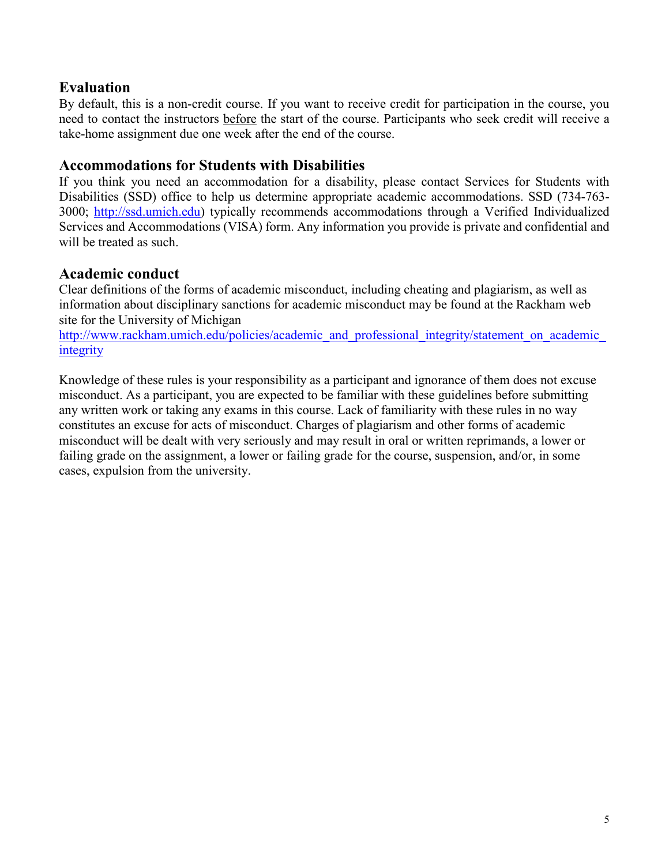### **Evaluation**

By default, this is a non-credit course. If you want to receive credit for participation in the course, you need to contact the instructors before the start of the course. Participants who seek credit will receive a take-home assignment due one week after the end of the course.

### **Accommodations for Students with Disabilities**

If you think you need an accommodation for a disability, please contact Services for Students with Disabilities (SSD) office to help us determine appropriate academic accommodations. SSD (734-763- 3000; [http://ssd.umich.edu\)](about:blank) typically recommends accommodations through a Verified Individualized Services and Accommodations (VISA) form. Any information you provide is private and confidential and will be treated as such.

### **Academic conduct**

Clear definitions of the forms of academic misconduct, including cheating and plagiarism, as well as information about disciplinary sanctions for academic misconduct may be found at the Rackham web site for the University of Michigan

[http://www.rackham.umich.edu/policies/academic\\_and\\_professional\\_integrity/statement\\_on\\_academic\\_](about:blank) [integrity](about:blank)

Knowledge of these rules is your responsibility as a participant and ignorance of them does not excuse misconduct. As a participant, you are expected to be familiar with these guidelines before submitting any written work or taking any exams in this course. Lack of familiarity with these rules in no way constitutes an excuse for acts of misconduct. Charges of plagiarism and other forms of academic misconduct will be dealt with very seriously and may result in oral or written reprimands, a lower or failing grade on the assignment, a lower or failing grade for the course, suspension, and/or, in some cases, expulsion from the university.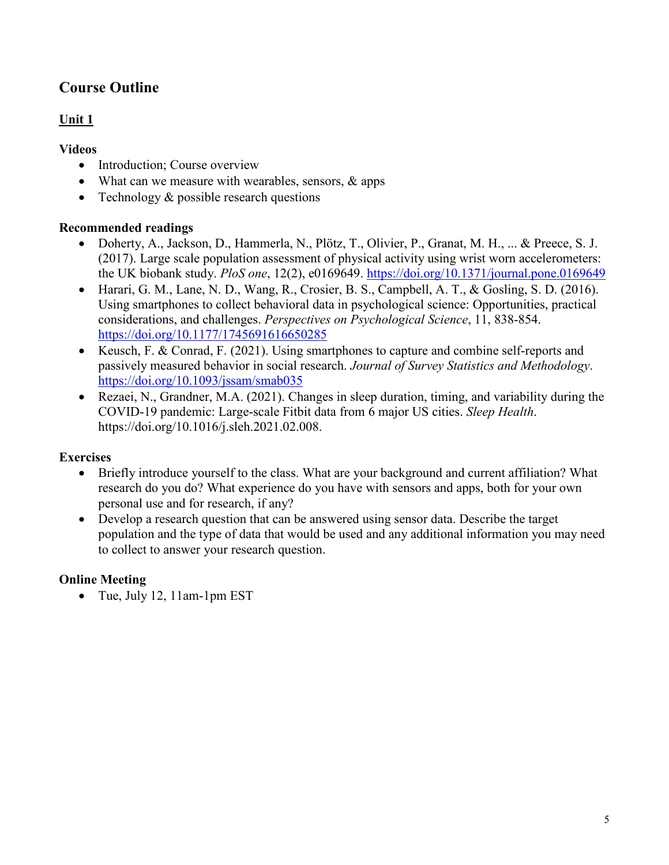# **Course Outline**

### **Unit 1**

### **Videos**

- Introduction; Course overview
- What can we measure with wearables, sensors, & apps
- Technology & possible research questions

### **Recommended readings**

- Doherty, A., Jackson, D., Hammerla, N., Plötz, T., Olivier, P., Granat, M. H., ... & Preece, S. J. (2017). Large scale population assessment of physical activity using wrist worn accelerometers: the UK biobank study. *PloS one*, 12(2), e0169649. <https://doi.org/10.1371/journal.pone.0169649>
- Harari, G. M., Lane, N. D., Wang, R., Crosier, B. S., Campbell, A. T., & Gosling, S. D. (2016). Using smartphones to collect behavioral data in psychological science: Opportunities, practical considerations, and challenges. *Perspectives on Psychological Science*, 11, 838-854. <https://doi.org/10.1177/1745691616650285>
- Keusch, F. & Conrad, F. (2021). Using smartphones to capture and combine self-reports and passively measured behavior in social research. *Journal of Survey Statistics and Methodology*. <https://doi.org/10.1093/jssam/smab035>
- Rezaei, N., Grandner, M.A. (2021). Changes in sleep duration, timing, and variability during the COVID-19 pandemic: Large-scale Fitbit data from 6 major US cities. *Sleep Health*. https://doi.org/10.1016/j.sleh.2021.02.008.

# **Exercises**

- Briefly introduce yourself to the class. What are your background and current affiliation? What research do you do? What experience do you have with sensors and apps, both for your own personal use and for research, if any?
- Develop a research question that can be answered using sensor data. Describe the target population and the type of data that would be used and any additional information you may need to collect to answer your research question.

# **Online Meeting**

• Tue, July 12, 11am-1pm EST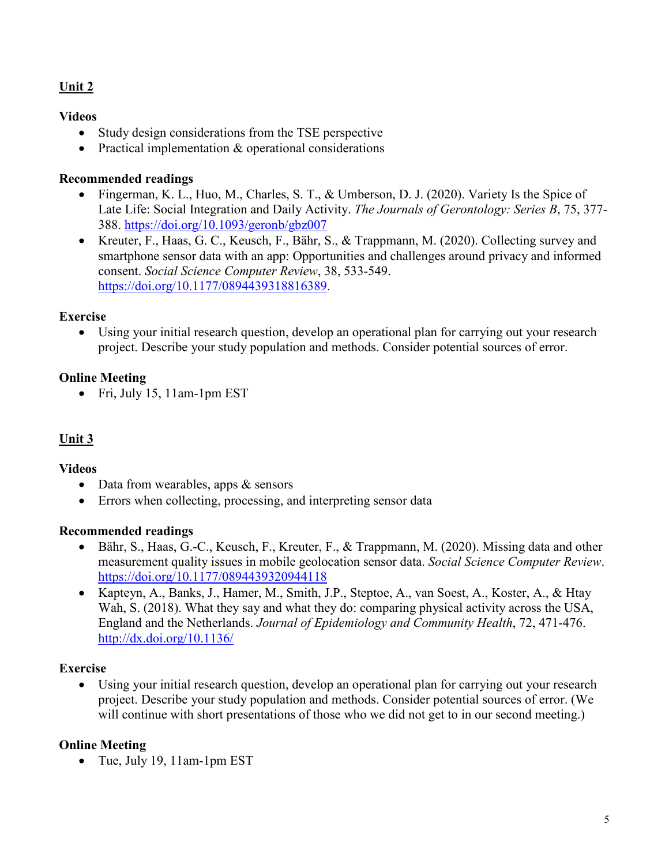### **Unit 2**

#### **Videos**

- Study design considerations from the TSE perspective
- Practical implementation & operational considerations

#### **Recommended readings**

- Fingerman, K. L., Huo, M., Charles, S. T., & Umberson, D. J. (2020). Variety Is the Spice of Late Life: Social Integration and Daily Activity. *The Journals of Gerontology: Series B*, 75, 377- 388.<https://doi.org/10.1093/geronb/gbz007>
- Kreuter, F., Haas, G. C., Keusch, F., Bähr, S., & Trappmann, M. (2020). Collecting survey and smartphone sensor data with an app: Opportunities and challenges around privacy and informed consent. *Social Science Computer Review*, 38, 533-549. [https://doi.org/10.1177/0894439318816389.](https://doi.org/10.1177/0894439318816389)

#### **Exercise**

Using your initial research question, develop an operational plan for carrying out your research project. Describe your study population and methods. Consider potential sources of error.

#### **Online Meeting**

• Fri, July 15, 11am-1pm EST

### **Unit 3**

#### **Videos**

- Data from wearables, apps & sensors
- Errors when collecting, processing, and interpreting sensor data

#### **Recommended readings**

- Bähr, S., Haas, G.-C., Keusch, F., Kreuter, F., & Trappmann, M. (2020). Missing data and other measurement quality issues in mobile geolocation sensor data. *Social Science Computer Review*. <https://doi.org/10.1177/0894439320944118>
- Kapteyn, A., Banks, J., Hamer, M., Smith, J.P., Steptoe, A., van Soest, A., Koster, A., & Htay Wah, S. (2018). What they say and what they do: comparing physical activity across the USA, England and the Netherlands. *Journal of Epidemiology and Community Health*, 72, 471-476. <http://dx.doi.org/10.1136/>

#### **Exercise**

• Using your initial research question, develop an operational plan for carrying out your research project. Describe your study population and methods. Consider potential sources of error. (We will continue with short presentations of those who we did not get to in our second meeting.)

#### **Online Meeting**

• Tue, July 19, 11am-1pm EST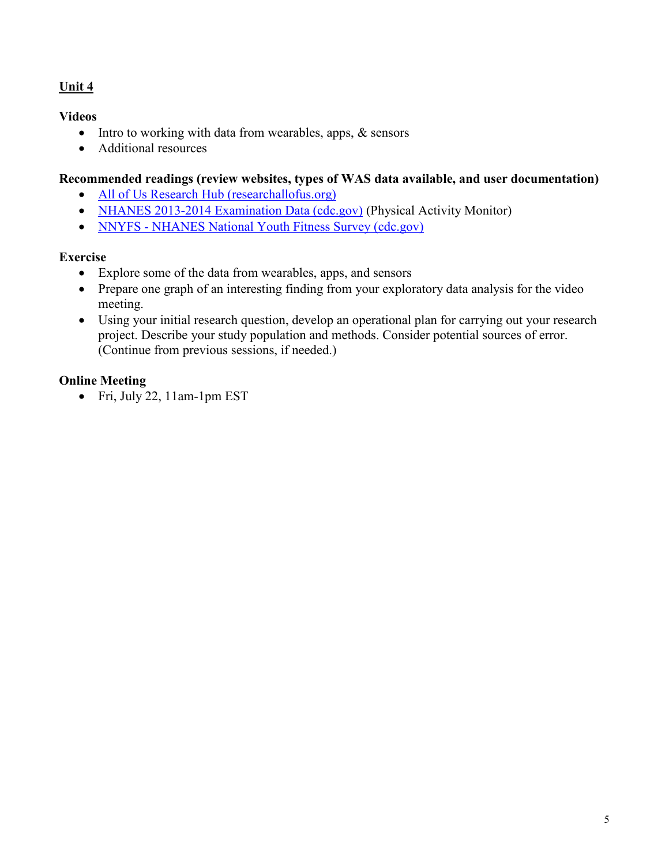### **Unit 4**

#### **Videos**

- Intro to working with data from wearables, apps, & sensors
- Additional resources

#### **Recommended readings (review websites, types of WAS data available, and user documentation)**

- [All of Us Research Hub \(researchallofus.org\)](https://www.researchallofus.org/)
- [NHANES 2013-2014 Examination Data \(cdc.gov\)](https://wwwn.cdc.gov/Nchs/Nhanes/Search/DataPage.aspx?Component=Examination&CycleBeginYear=2013) (Physical Activity Monitor)
- NNYFS [NHANES National Youth Fitness Survey \(cdc.gov\)](https://www.cdc.gov/nchs/nnyfs/index.htm)

#### **Exercise**

- Explore some of the data from wearables, apps, and sensors
- Prepare one graph of an interesting finding from your exploratory data analysis for the video meeting.
- Using your initial research question, develop an operational plan for carrying out your research project. Describe your study population and methods. Consider potential sources of error. (Continue from previous sessions, if needed.)

### **Online Meeting**

• Fri, July 22, 11am-1pm EST